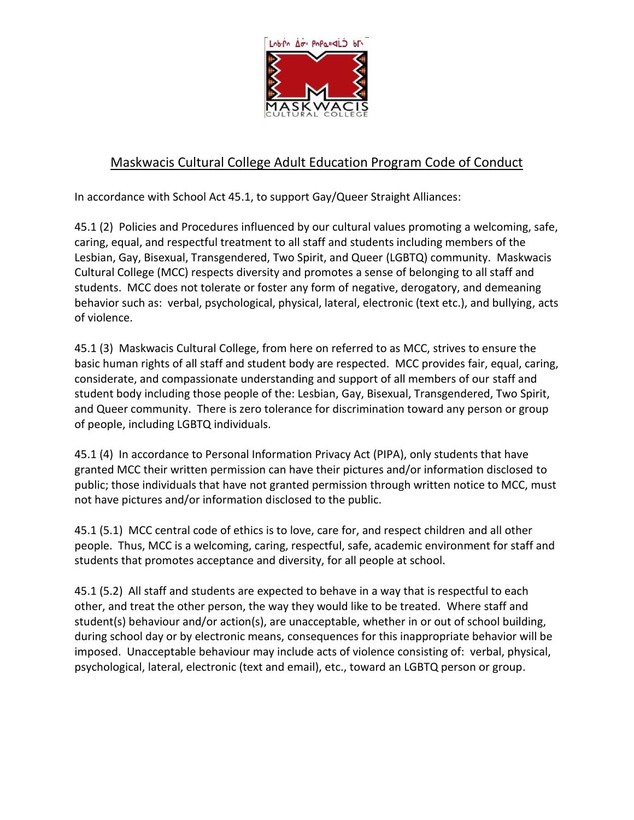

## Maskwacis Cultural College Adult Education Program Code of Conduct

In accordance with School Act 45.1, to support Gay/Queer Straight Alliances:

45.1 (2) Policies and Procedures influenced by our cultural values promoting a welcoming, safe, caring, equal, and respectful treatment to all staff and students including members of the Lesbian, Gay, Bisexual, Transgendered, Two Spirit, and Queer (LGBTQ) community. Maskwacis Cultural College (MCC) respects diversity and promotes a sense of belonging to all staff and students. MCC does not tolerate or foster any form of negative, derogatory, and demeaning behavior such as: verbal, psychological, physical, lateral, electronic (text etc.), and bullying, acts of violence.

45.1 (3) Maskwacis Cultural College, from here on referred to as MCC, strives to ensure the basic human rights of all staff and student body are respected. MCC provides fair, equal, caring, considerate, and compassionate understanding and support of all members of our staff and student body including those people of the: Lesbian, Gay, Bisexual, Transgendered, Two Spirit, and Queer community. There is zero tolerance for discrimination toward any person or group of people, including LGBTQ individuals.

45.1 (4) In accordance to Personal Information Privacy Act (PIPA), only students that have granted MCC their written permission can have their pictures and/or information disclosed to public; those individuals that have not granted permission through written notice to MCC, must not have pictures and/or information disclosed to the public.

45.1 (5.1) MCC central code of ethics is to love, care for, and respect children and all other people. Thus, MCC is a welcoming, caring, respectful, safe, academic environment for staff and students that promotes acceptance and diversity, for all people at school.

45.1 (5.2) All staff and students are expected to behave in a way that is respectful to each other, and treat the other person, the way they would like to be treated. Where staff and student(s) behaviour and/or action(s), are unacceptable, whether in or out of school building, during school day or by electronic means, consequences for this inappropriate behavior will be imposed. Unacceptable behaviour may include acts of violence consisting of: verbal, physical, psychological, lateral, electronic (text and email), etc., toward an LGBTQ person or group.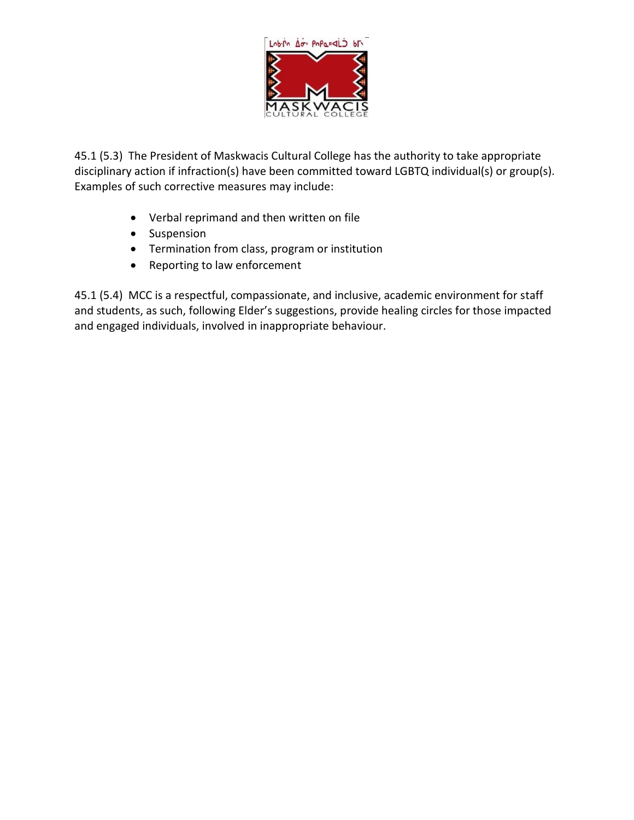

45.1 (5.3) The President of Maskwacis Cultural College has the authority to take appropriate disciplinary action if infraction(s) have been committed toward LGBTQ individual(s) or group(s). Examples of such corrective measures may include:

- Verbal reprimand and then written on file
- Suspension
- Termination from class, program or institution
- Reporting to law enforcement

45.1 (5.4) MCC is a respectful, compassionate, and inclusive, academic environment for staff and students, as such, following Elder's suggestions, provide healing circles for those impacted and engaged individuals, involved in inappropriate behaviour.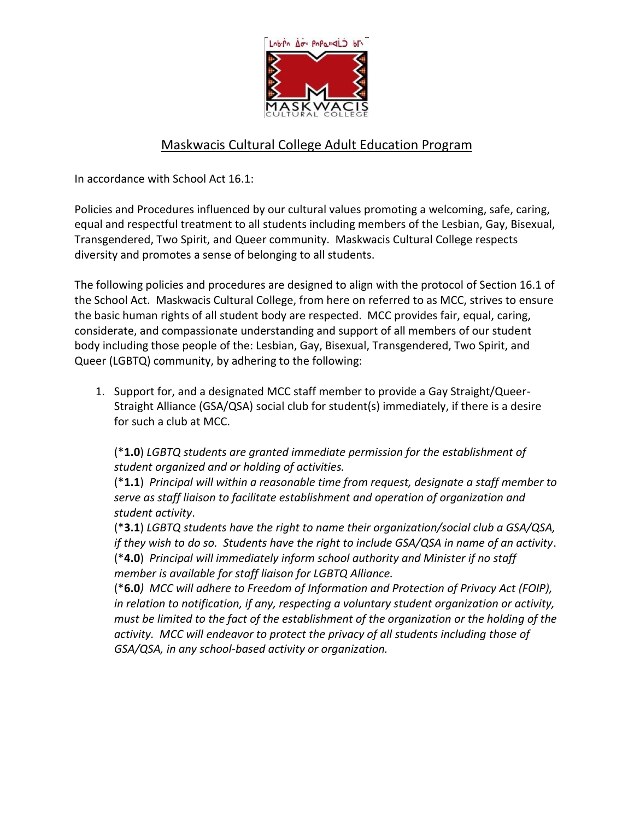

## Maskwacis Cultural College Adult Education Program

In accordance with School Act 16.1:

Policies and Procedures influenced by our cultural values promoting a welcoming, safe, caring, equal and respectful treatment to all students including members of the Lesbian, Gay, Bisexual, Transgendered, Two Spirit, and Queer community. Maskwacis Cultural College respects diversity and promotes a sense of belonging to all students.

The following policies and procedures are designed to align with the protocol of Section 16.1 of the School Act. Maskwacis Cultural College, from here on referred to as MCC, strives to ensure the basic human rights of all student body are respected. MCC provides fair, equal, caring, considerate, and compassionate understanding and support of all members of our student body including those people of the: Lesbian, Gay, Bisexual, Transgendered, Two Spirit, and Queer (LGBTQ) community, by adhering to the following:

1. Support for, and a designated MCC staff member to provide a Gay Straight/Queer-Straight Alliance (GSA/QSA) social club for student(s) immediately, if there is a desire for such a club at MCC.

(\***1.0**) *LGBTQ students are granted immediate permission for the establishment of student organized and or holding of activities.*

(\***1.1**) *Principal will within a reasonable time from request, designate a staff member to serve as staff liaison to facilitate establishment and operation of organization and student activity*.

(\***3.1**) *LGBTQ students have the right to name their organization/social club a GSA/QSA, if they wish to do so. Students have the right to include GSA/QSA in name of an activity*. (\***4.0**) *Principal will immediately inform school authority and Minister if no staff member is available for staff liaison for LGBTQ Alliance.*

(\***6.0***) MCC will adhere to Freedom of Information and Protection of Privacy Act (FOIP), in relation to notification, if any, respecting a voluntary student organization or activity, must be limited to the fact of the establishment of the organization or the holding of the activity. MCC will endeavor to protect the privacy of all students including those of GSA/QSA, in any school-based activity or organization.*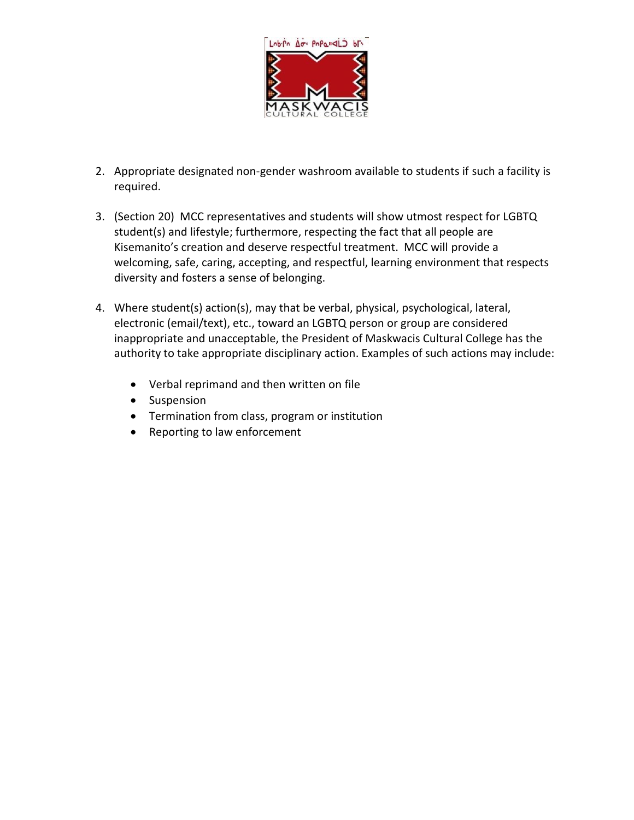

- 2. Appropriate designated non-gender washroom available to students if such a facility is required.
- 3. (Section 20) MCC representatives and students will show utmost respect for LGBTQ student(s) and lifestyle; furthermore, respecting the fact that all people are Kisemanito's creation and deserve respectful treatment. MCC will provide a welcoming, safe, caring, accepting, and respectful, learning environment that respects diversity and fosters a sense of belonging.
- 4. Where student(s) action(s), may that be verbal, physical, psychological, lateral, electronic (email/text), etc., toward an LGBTQ person or group are considered inappropriate and unacceptable, the President of Maskwacis Cultural College has the authority to take appropriate disciplinary action. Examples of such actions may include:
	- Verbal reprimand and then written on file
	- Suspension
	- Termination from class, program or institution
	- Reporting to law enforcement